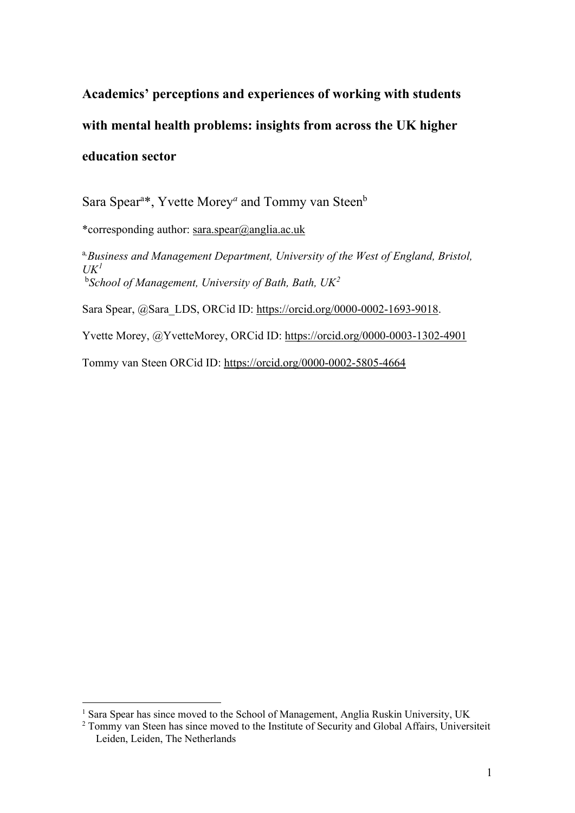**Academics' perceptions and experiences of working with students with mental health problems: insights from across the UK higher education sector**

Sara Spear<sup>a\*</sup>, Yvette Morey<sup>*a*</sup> and Tommy van Steen<sup>b</sup>

\*corresponding author: [sara.spear@anglia.ac.uk](mailto:sara.spear@uwe.ac.uk)

a*, Business and Management Department, University of the West of England, Bristol, UK[1](#page-0-0)* b *School of Management, University of Bath, Bath, UK[2](#page-0-1)*

Sara Spear, @Sara\_LDS, ORCid ID: [https://orcid.org/0000-0002-1693-9018.](https://orcid.org/0000-0002-1693-9018)

Yvette Morey, @YvetteMorey, ORCid ID:<https://orcid.org/0000-0003-1302-4901>

Tommy van Steen ORCid ID:<https://orcid.org/0000-0002-5805-4664>

<span id="page-0-0"></span><sup>&</sup>lt;sup>1</sup> Sara Spear has since moved to the School of Management, Anglia Ruskin University, UK

<span id="page-0-1"></span><sup>&</sup>lt;sup>2</sup> Tommy van Steen has since moved to the Institute of Security and Global Affairs, Universiteit Leiden, Leiden, The Netherlands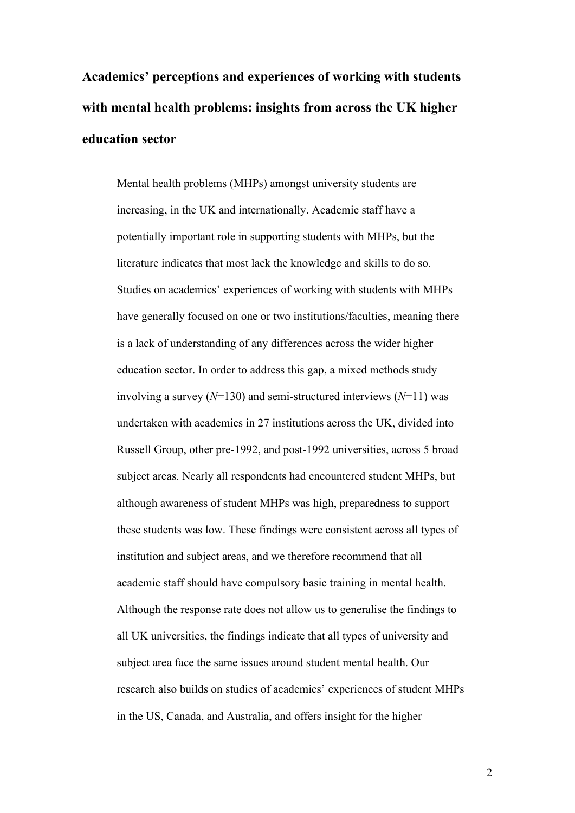**Academics' perceptions and experiences of working with students with mental health problems: insights from across the UK higher education sector**

Mental health problems (MHPs) amongst university students are increasing, in the UK and internationally. Academic staff have a potentially important role in supporting students with MHPs, but the literature indicates that most lack the knowledge and skills to do so. Studies on academics' experiences of working with students with MHPs have generally focused on one or two institutions/faculties, meaning there is a lack of understanding of any differences across the wider higher education sector. In order to address this gap, a mixed methods study involving a survey (*N*=130) and semi-structured interviews (*N*=11) was undertaken with academics in 27 institutions across the UK, divided into Russell Group, other pre-1992, and post-1992 universities, across 5 broad subject areas. Nearly all respondents had encountered student MHPs, but although awareness of student MHPs was high, preparedness to support these students was low. These findings were consistent across all types of institution and subject areas, and we therefore recommend that all academic staff should have compulsory basic training in mental health. Although the response rate does not allow us to generalise the findings to all UK universities, the findings indicate that all types of university and subject area face the same issues around student mental health. Our research also builds on studies of academics' experiences of student MHPs in the US, Canada, and Australia, and offers insight for the higher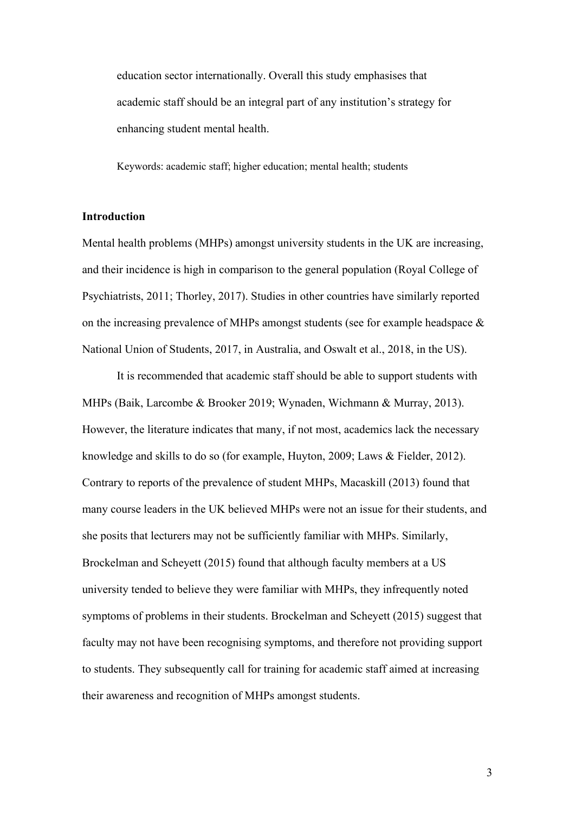education sector internationally. Overall this study emphasises that academic staff should be an integral part of any institution's strategy for enhancing student mental health.

Keywords: academic staff; higher education; mental health; students

### **Introduction**

Mental health problems (MHPs) amongst university students in the UK are increasing, and their incidence is high in comparison to the general population (Royal College of Psychiatrists, 2011; Thorley, 2017). Studies in other countries have similarly reported on the increasing prevalence of MHPs amongst students (see for example headspace & National Union of Students, 2017, in Australia, and Oswalt et al., 2018, in the US).

It is recommended that academic staff should be able to support students with MHPs (Baik, Larcombe & Brooker 2019; Wynaden, Wichmann & Murray, 2013). However, the literature indicates that many, if not most, academics lack the necessary knowledge and skills to do so (for example, Huyton, 2009; Laws & Fielder, 2012). Contrary to reports of the prevalence of student MHPs, Macaskill (2013) found that many course leaders in the UK believed MHPs were not an issue for their students, and she posits that lecturers may not be sufficiently familiar with MHPs. Similarly, Brockelman and Scheyett (2015) found that although faculty members at a US university tended to believe they were familiar with MHPs, they infrequently noted symptoms of problems in their students. Brockelman and Scheyett (2015) suggest that faculty may not have been recognising symptoms, and therefore not providing support to students. They subsequently call for training for academic staff aimed at increasing their awareness and recognition of MHPs amongst students.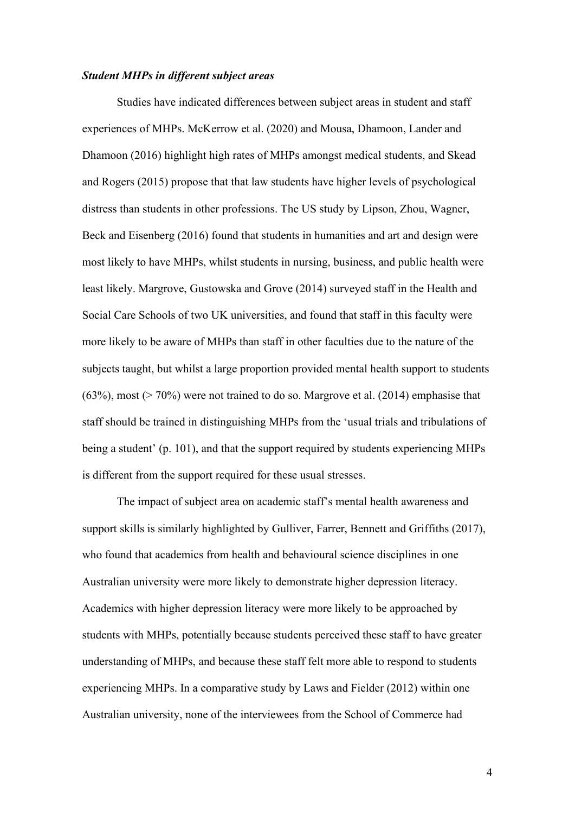## *Student MHPs in different subject areas*

Studies have indicated differences between subject areas in student and staff experiences of MHPs. McKerrow et al. (2020) and Mousa, Dhamoon, Lander and Dhamoon (2016) highlight high rates of MHPs amongst medical students, and Skead and Rogers (2015) propose that that law students have higher levels of psychological distress than students in other professions. The US study by Lipson, Zhou, Wagner, Beck and Eisenberg (2016) found that students in humanities and art and design were most likely to have MHPs, whilst students in nursing, business, and public health were least likely. Margrove, Gustowska and Grove (2014) surveyed staff in the Health and Social Care Schools of two UK universities, and found that staff in this faculty were more likely to be aware of MHPs than staff in other faculties due to the nature of the subjects taught, but whilst a large proportion provided mental health support to students (63%), most (> 70%) were not trained to do so. Margrove et al. (2014) emphasise that staff should be trained in distinguishing MHPs from the 'usual trials and tribulations of being a student' (p. 101), and that the support required by students experiencing MHPs is different from the support required for these usual stresses.

The impact of subject area on academic staff's mental health awareness and support skills is similarly highlighted by Gulliver, Farrer, Bennett and Griffiths (2017), who found that academics from health and behavioural science disciplines in one Australian university were more likely to demonstrate higher depression literacy. Academics with higher depression literacy were more likely to be approached by students with MHPs, potentially because students perceived these staff to have greater understanding of MHPs, and because these staff felt more able to respond to students experiencing MHPs. In a comparative study by Laws and Fielder (2012) within one Australian university, none of the interviewees from the School of Commerce had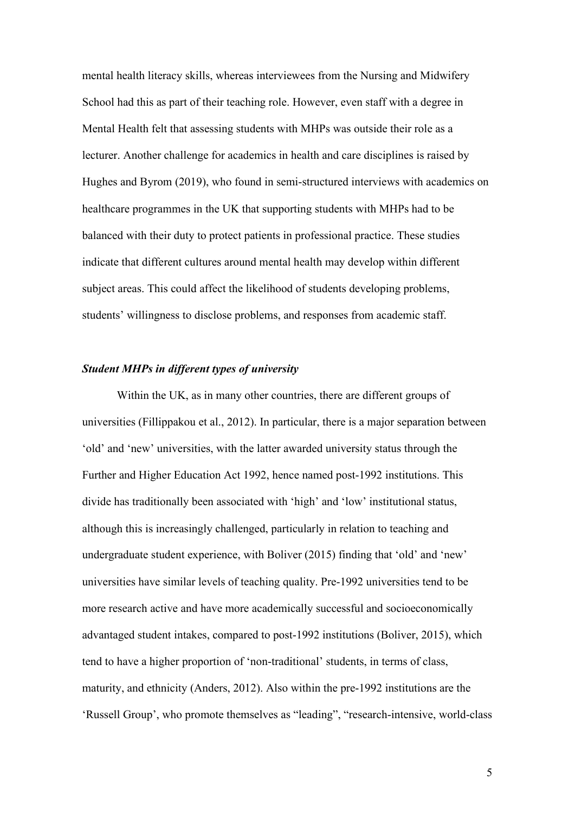mental health literacy skills, whereas interviewees from the Nursing and Midwifery School had this as part of their teaching role. However, even staff with a degree in Mental Health felt that assessing students with MHPs was outside their role as a lecturer. Another challenge for academics in health and care disciplines is raised by Hughes and Byrom (2019), who found in semi-structured interviews with academics on healthcare programmes in the UK that supporting students with MHPs had to be balanced with their duty to protect patients in professional practice. These studies indicate that different cultures around mental health may develop within different subject areas. This could affect the likelihood of students developing problems, students' willingness to disclose problems, and responses from academic staff.

# *Student MHPs in different types of university*

Within the UK, as in many other countries, there are different groups of universities (Fillippakou et al., 2012). In particular, there is a major separation between 'old' and 'new' universities, with the latter awarded university status through the Further and Higher Education Act 1992, hence named post-1992 institutions. This divide has traditionally been associated with 'high' and 'low' institutional status, although this is increasingly challenged, particularly in relation to teaching and undergraduate student experience, with Boliver (2015) finding that 'old' and 'new' universities have similar levels of teaching quality. Pre-1992 universities tend to be more research active and have more academically successful and socioeconomically advantaged student intakes, compared to post-1992 institutions (Boliver, 2015), which tend to have a higher proportion of 'non-traditional' students, in terms of class, maturity, and ethnicity (Anders, 2012). Also within the pre-1992 institutions are the 'Russell Group', who promote themselves as "leading", "research-intensive, world-class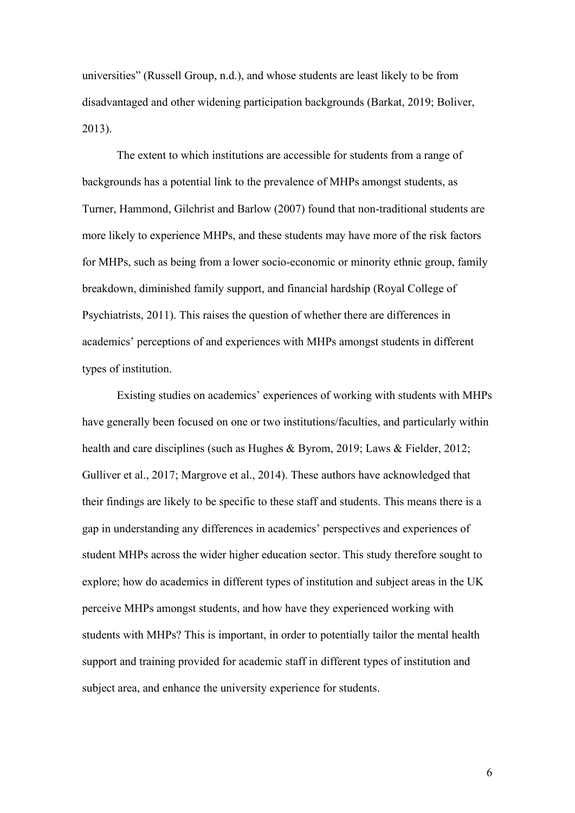universities" (Russell Group, n.d.), and whose students are least likely to be from disadvantaged and other widening participation backgrounds (Barkat, 2019; Boliver, 2013).

The extent to which institutions are accessible for students from a range of backgrounds has a potential link to the prevalence of MHPs amongst students, as Turner, Hammond, Gilchrist and Barlow (2007) found that non-traditional students are more likely to experience MHPs, and these students may have more of the risk factors for MHPs, such as being from a lower socio-economic or minority ethnic group, family breakdown, diminished family support, and financial hardship (Royal College of Psychiatrists, 2011). This raises the question of whether there are differences in academics' perceptions of and experiences with MHPs amongst students in different types of institution.

Existing studies on academics' experiences of working with students with MHPs have generally been focused on one or two institutions/faculties, and particularly within health and care disciplines (such as Hughes & Byrom, 2019; Laws & Fielder, 2012; Gulliver et al., 2017; Margrove et al., 2014). These authors have acknowledged that their findings are likely to be specific to these staff and students. This means there is a gap in understanding any differences in academics' perspectives and experiences of student MHPs across the wider higher education sector. This study therefore sought to explore; how do academics in different types of institution and subject areas in the UK perceive MHPs amongst students, and how have they experienced working with students with MHPs? This is important, in order to potentially tailor the mental health support and training provided for academic staff in different types of institution and subject area, and enhance the university experience for students.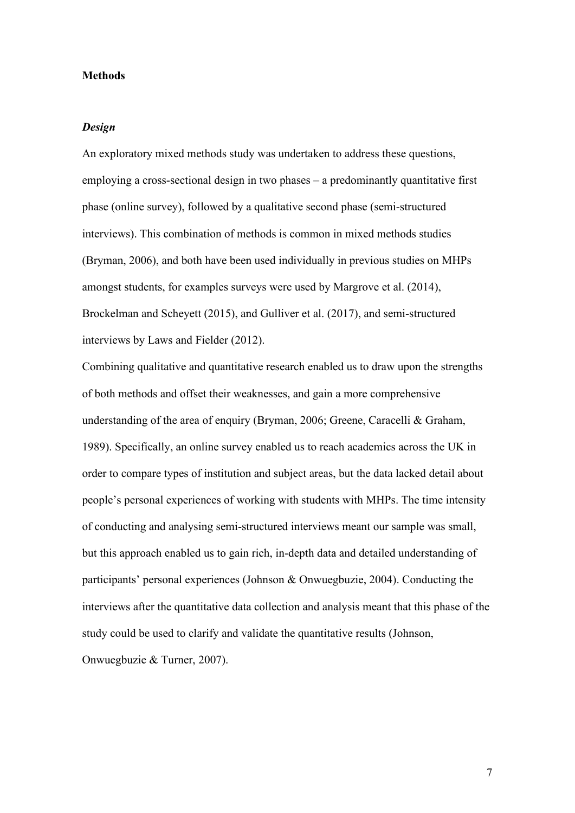# **Methods**

# *Design*

An exploratory mixed methods study was undertaken to address these questions, employing a cross-sectional design in two phases – a predominantly quantitative first phase (online survey), followed by a qualitative second phase (semi-structured interviews). This combination of methods is common in mixed methods studies (Bryman, 2006), and both have been used individually in previous studies on MHPs amongst students, for examples surveys were used by Margrove et al. (2014), Brockelman and Scheyett (2015), and Gulliver et al. (2017), and semi-structured interviews by Laws and Fielder (2012).

Combining qualitative and quantitative research enabled us to draw upon the strengths of both methods and offset their weaknesses, and gain a more comprehensive understanding of the area of enquiry (Bryman, 2006; Greene, Caracelli & Graham, 1989). Specifically, an online survey enabled us to reach academics across the UK in order to compare types of institution and subject areas, but the data lacked detail about people's personal experiences of working with students with MHPs. The time intensity of conducting and analysing semi-structured interviews meant our sample was small, but this approach enabled us to gain rich, in-depth data and detailed understanding of participants' personal experiences (Johnson & Onwuegbuzie, 2004). Conducting the interviews after the quantitative data collection and analysis meant that this phase of the study could be used to clarify and validate the quantitative results (Johnson, Onwuegbuzie & Turner, 2007).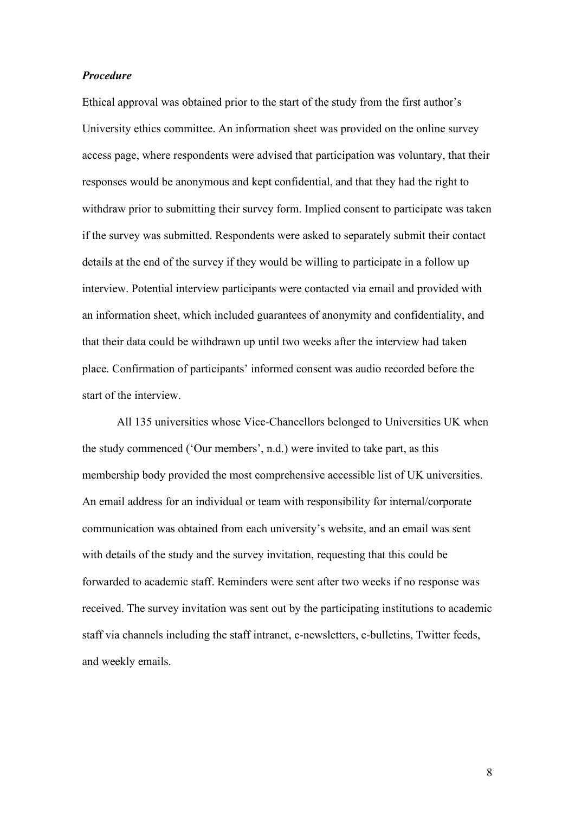# *Procedure*

Ethical approval was obtained prior to the start of the study from the first author's University ethics committee. An information sheet was provided on the online survey access page, where respondents were advised that participation was voluntary, that their responses would be anonymous and kept confidential, and that they had the right to withdraw prior to submitting their survey form. Implied consent to participate was taken if the survey was submitted. Respondents were asked to separately submit their contact details at the end of the survey if they would be willing to participate in a follow up interview. Potential interview participants were contacted via email and provided with an information sheet, which included guarantees of anonymity and confidentiality, and that their data could be withdrawn up until two weeks after the interview had taken place. Confirmation of participants' informed consent was audio recorded before the start of the interview.

All 135 universities whose Vice-Chancellors belonged to Universities UK when the study commenced ('Our members', n.d.) were invited to take part, as this membership body provided the most comprehensive accessible list of UK universities. An email address for an individual or team with responsibility for internal/corporate communication was obtained from each university's website, and an email was sent with details of the study and the survey invitation, requesting that this could be forwarded to academic staff. Reminders were sent after two weeks if no response was received. The survey invitation was sent out by the participating institutions to academic staff via channels including the staff intranet, e-newsletters, e-bulletins, Twitter feeds, and weekly emails.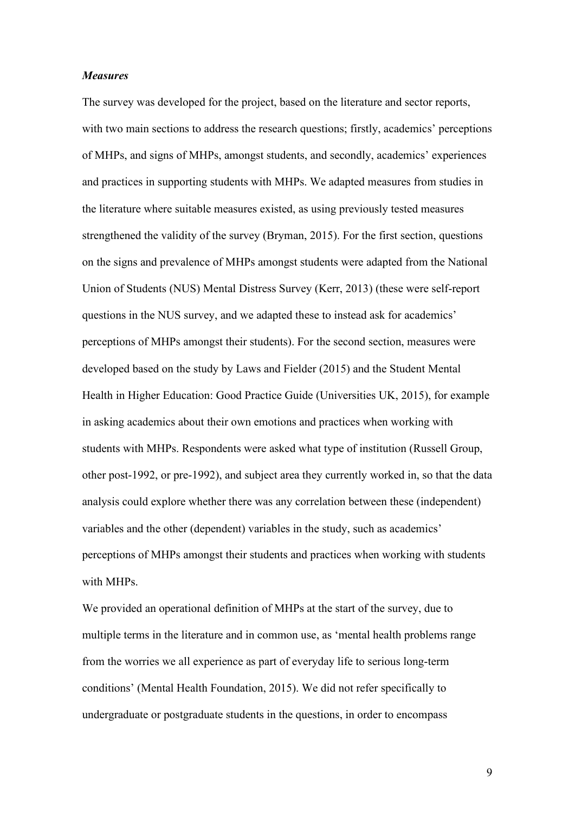#### *Measures*

The survey was developed for the project, based on the literature and sector reports, with two main sections to address the research questions; firstly, academics' perceptions of MHPs, and signs of MHPs, amongst students, and secondly, academics' experiences and practices in supporting students with MHPs. We adapted measures from studies in the literature where suitable measures existed, as using previously tested measures strengthened the validity of the survey (Bryman, 2015). For the first section, questions on the signs and prevalence of MHPs amongst students were adapted from the National Union of Students (NUS) Mental Distress Survey (Kerr, 2013) (these were self-report questions in the NUS survey, and we adapted these to instead ask for academics' perceptions of MHPs amongst their students). For the second section, measures were developed based on the study by Laws and Fielder (2015) and the Student Mental Health in Higher Education: Good Practice Guide (Universities UK, 2015), for example in asking academics about their own emotions and practices when working with students with MHPs. Respondents were asked what type of institution (Russell Group, other post-1992, or pre-1992), and subject area they currently worked in, so that the data analysis could explore whether there was any correlation between these (independent) variables and the other (dependent) variables in the study, such as academics' perceptions of MHPs amongst their students and practices when working with students with MHPs.

We provided an operational definition of MHPs at the start of the survey, due to multiple terms in the literature and in common use, as 'mental health problems range from the worries we all experience as part of everyday life to serious long-term conditions' (Mental Health Foundation, 2015). We did not refer specifically to undergraduate or postgraduate students in the questions, in order to encompass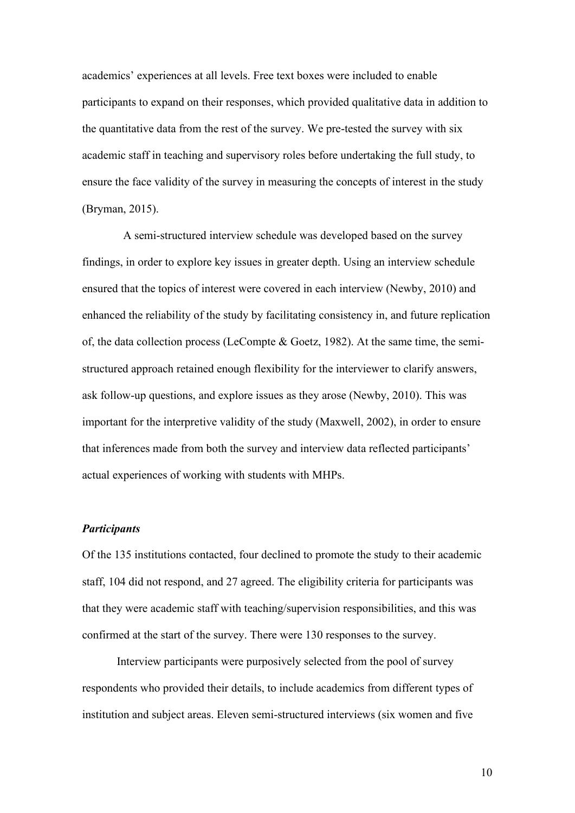academics' experiences at all levels. Free text boxes were included to enable participants to expand on their responses, which provided qualitative data in addition to the quantitative data from the rest of the survey. We pre-tested the survey with six academic staff in teaching and supervisory roles before undertaking the full study, to ensure the face validity of the survey in measuring the concepts of interest in the study (Bryman, 2015).

A semi-structured interview schedule was developed based on the survey findings, in order to explore key issues in greater depth. Using an interview schedule ensured that the topics of interest were covered in each interview (Newby, 2010) and enhanced the reliability of the study by facilitating consistency in, and future replication of, the data collection process (LeCompte & Goetz, 1982). At the same time, the semistructured approach retained enough flexibility for the interviewer to clarify answers, ask follow-up questions, and explore issues as they arose (Newby, 2010). This was important for the interpretive validity of the study (Maxwell, 2002), in order to ensure that inferences made from both the survey and interview data reflected participants' actual experiences of working with students with MHPs.

# *Participants*

Of the 135 institutions contacted, four declined to promote the study to their academic staff, 104 did not respond, and 27 agreed. The eligibility criteria for participants was that they were academic staff with teaching/supervision responsibilities, and this was confirmed at the start of the survey. There were 130 responses to the survey.

Interview participants were purposively selected from the pool of survey respondents who provided their details, to include academics from different types of institution and subject areas. Eleven semi-structured interviews (six women and five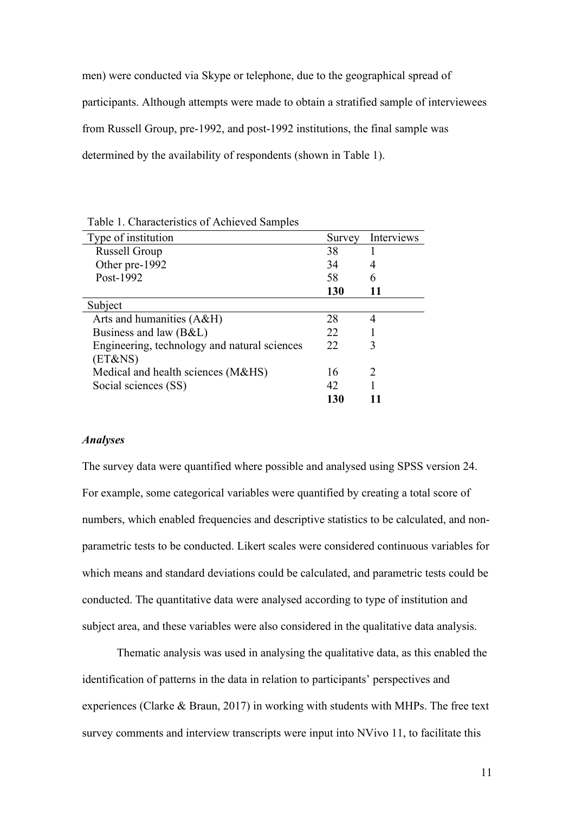men) were conducted via Skype or telephone, due to the geographical spread of participants. Although attempts were made to obtain a stratified sample of interviewees from Russell Group, pre-1992, and post-1992 institutions, the final sample was determined by the availability of respondents (shown in Table 1).

| л.                                           |        |                             |
|----------------------------------------------|--------|-----------------------------|
| Type of institution                          | Survey | Interviews                  |
| Russell Group                                | 38     |                             |
| Other pre-1992                               | 34     | 4                           |
| Post-1992                                    | 58     |                             |
|                                              | 130    |                             |
| Subject                                      |        |                             |
| Arts and humanities (A&H)                    | 28     | 4                           |
| Business and law (B&L)                       | 22     |                             |
| Engineering, technology and natural sciences | 22     | 3                           |
| (ET&NS)                                      |        |                             |
| Medical and health sciences (M&HS)           | 16     | $\mathcal{D}_{\mathcal{L}}$ |
| Social sciences (SS)                         | 42     |                             |
|                                              | 130    |                             |
|                                              |        |                             |

Table 1. Characteristics of Achieved Samples

# *Analyses*

The survey data were quantified where possible and analysed using SPSS version 24. For example, some categorical variables were quantified by creating a total score of numbers, which enabled frequencies and descriptive statistics to be calculated, and nonparametric tests to be conducted. Likert scales were considered continuous variables for which means and standard deviations could be calculated, and parametric tests could be conducted. The quantitative data were analysed according to type of institution and subject area, and these variables were also considered in the qualitative data analysis.

Thematic analysis was used in analysing the qualitative data, as this enabled the identification of patterns in the data in relation to participants' perspectives and experiences (Clarke & Braun, 2017) in working with students with MHPs. The free text survey comments and interview transcripts were input into NVivo 11, to facilitate this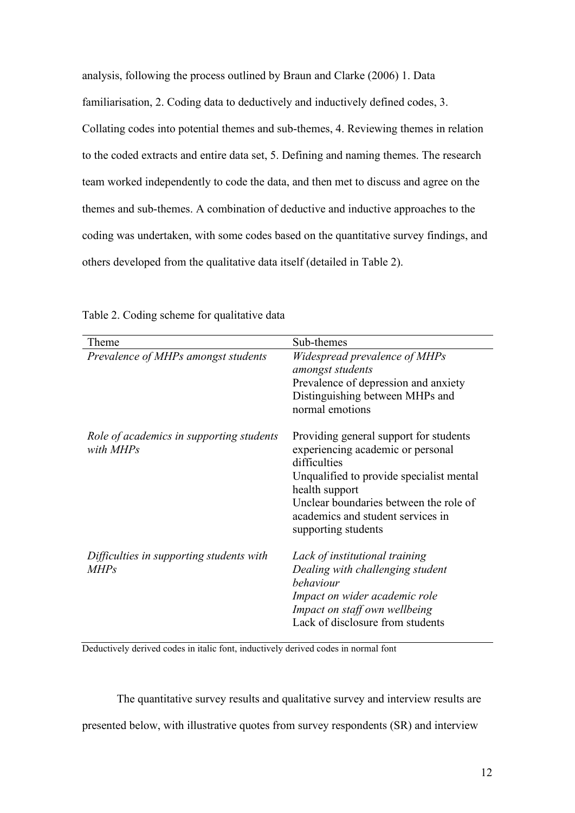analysis, following the process outlined by Braun and Clarke (2006) 1. Data

familiarisation, 2. Coding data to deductively and inductively defined codes, 3.

Collating codes into potential themes and sub-themes, 4. Reviewing themes in relation to the coded extracts and entire data set, 5. Defining and naming themes. The research team worked independently to code the data, and then met to discuss and agree on the themes and sub-themes. A combination of deductive and inductive approaches to the coding was undertaken, with some codes based on the quantitative survey findings, and others developed from the qualitative data itself (detailed in Table 2).

| Theme                                                   | Sub-themes                                                                                                                                                                                                                                                      |
|---------------------------------------------------------|-----------------------------------------------------------------------------------------------------------------------------------------------------------------------------------------------------------------------------------------------------------------|
| Prevalence of MHPs amongst students                     | Widespread prevalence of MHPs<br>amongst students<br>Prevalence of depression and anxiety<br>Distinguishing between MHPs and<br>normal emotions                                                                                                                 |
| Role of academics in supporting students<br>with MHPs   | Providing general support for students<br>experiencing academic or personal<br>difficulties<br>Unqualified to provide specialist mental<br>health support<br>Unclear boundaries between the role of<br>academics and student services in<br>supporting students |
| Difficulties in supporting students with<br><b>MHPs</b> | Lack of institutional training<br>Dealing with challenging student<br>behaviour<br>Impact on wider academic role<br>Impact on staff own wellbeing<br>Lack of disclosure from students                                                                           |

Table 2. Coding scheme for qualitative data

Deductively derived codes in italic font, inductively derived codes in normal font

The quantitative survey results and qualitative survey and interview results are presented below, with illustrative quotes from survey respondents (SR) and interview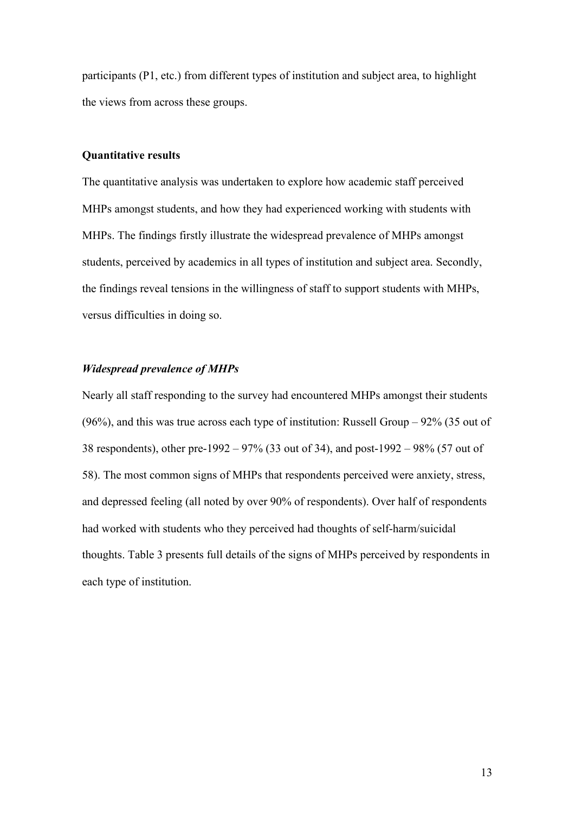participants (P1, etc.) from different types of institution and subject area, to highlight the views from across these groups.

## **Quantitative results**

The quantitative analysis was undertaken to explore how academic staff perceived MHPs amongst students, and how they had experienced working with students with MHPs. The findings firstly illustrate the widespread prevalence of MHPs amongst students, perceived by academics in all types of institution and subject area. Secondly, the findings reveal tensions in the willingness of staff to support students with MHPs, versus difficulties in doing so.

# *Widespread prevalence of MHPs*

Nearly all staff responding to the survey had encountered MHPs amongst their students (96%), and this was true across each type of institution: Russell Group  $-$  92% (35 out of 38 respondents), other pre-1992 – 97% (33 out of 34), and post-1992 – 98% (57 out of 58). The most common signs of MHPs that respondents perceived were anxiety, stress, and depressed feeling (all noted by over 90% of respondents). Over half of respondents had worked with students who they perceived had thoughts of self-harm/suicidal thoughts. Table 3 presents full details of the signs of MHPs perceived by respondents in each type of institution.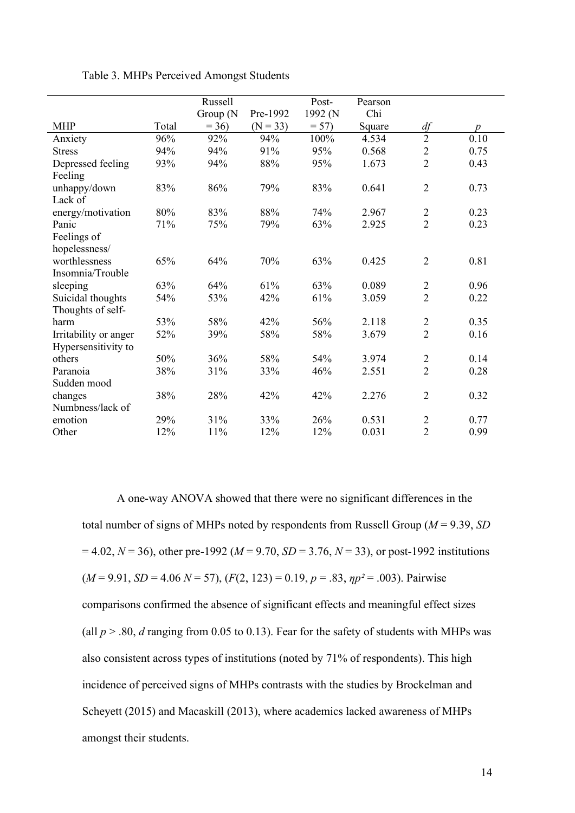|                       |       | Russell  |            | Post-   | Pearson |                |                  |
|-----------------------|-------|----------|------------|---------|---------|----------------|------------------|
|                       |       | Group (N | Pre-1992   | 1992 (N | Chi     |                |                  |
| <b>MHP</b>            | Total | $= 36$   | $(N = 33)$ | $= 57$  | Square  | df             | $\boldsymbol{p}$ |
| Anxiety               | 96%   | 92%      | 94%        | 100%    | 4.534   | $\overline{2}$ | 0.10             |
| <b>Stress</b>         | 94%   | 94%      | 91%        | 95%     | 0.568   | $\overline{c}$ | 0.75             |
| Depressed feeling     | 93%   | 94%      | $88\%$     | 95%     | 1.673   | $\overline{2}$ | 0.43             |
| Feeling               |       |          |            |         |         |                |                  |
| unhappy/down          | 83%   | 86%      | 79%        | 83%     | 0.641   | $\overline{2}$ | 0.73             |
| Lack of               |       |          |            |         |         |                |                  |
| energy/motivation     | 80%   | 83%      | 88%        | 74%     | 2.967   | $\overline{2}$ | 0.23             |
| Panic                 | 71%   | 75%      | 79%        | 63%     | 2.925   | $\overline{2}$ | 0.23             |
| Feelings of           |       |          |            |         |         |                |                  |
| hopelessness/         |       |          |            |         |         |                |                  |
| worthlessness         | 65%   | 64%      | 70%        | 63%     | 0.425   | $\overline{2}$ | 0.81             |
| Insomnia/Trouble      |       |          |            |         |         |                |                  |
| sleeping              | 63%   | 64%      | 61%        | 63%     | 0.089   | $\overline{2}$ | 0.96             |
| Suicidal thoughts     | 54%   | 53%      | 42%        | 61%     | 3.059   | $\overline{2}$ | 0.22             |
| Thoughts of self-     |       |          |            |         |         |                |                  |
| harm                  | 53%   | 58%      | 42%        | 56%     | 2.118   | $\overline{c}$ | 0.35             |
| Irritability or anger | 52%   | 39%      | 58%        | 58%     | 3.679   | $\overline{2}$ | 0.16             |
| Hypersensitivity to   |       |          |            |         |         |                |                  |
| others                | 50%   | 36%      | 58%        | 54%     | 3.974   | $\overline{2}$ | 0.14             |
| Paranoia              | 38%   | 31%      | 33%        | 46%     | 2.551   | $\overline{2}$ | 0.28             |
| Sudden mood           |       |          |            |         |         |                |                  |
| changes               | 38%   | 28%      | 42%        | 42%     | 2.276   | $\overline{2}$ | 0.32             |
| Numbness/lack of      |       |          |            |         |         |                |                  |
| emotion               | 29%   | 31%      | 33%        | 26%     | 0.531   | $\overline{2}$ | 0.77             |
| Other                 | 12%   | 11%      | 12%        | 12%     | 0.031   | $\overline{2}$ | 0.99             |

Table 3. MHPs Perceived Amongst Students

A one-way ANOVA showed that there were no significant differences in the total number of signs of MHPs noted by respondents from Russell Group (*M* = 9.39, *SD*  $= 4.02, N = 36$ , other pre-1992 ( $M = 9.70, SD = 3.76, N = 33$ ), or post-1992 institutions  $(M = 9.91, SD = 4.06 \text{ N} = 57), (F(2, 123) = 0.19, p = .83, \eta p^2 = .003)$ . Pairwise comparisons confirmed the absence of significant effects and meaningful effect sizes (all  $p > .80$ , *d* ranging from 0.05 to 0.13). Fear for the safety of students with MHPs was also consistent across types of institutions (noted by 71% of respondents). This high incidence of perceived signs of MHPs contrasts with the studies by Brockelman and Scheyett (2015) and Macaskill (2013), where academics lacked awareness of MHPs amongst their students.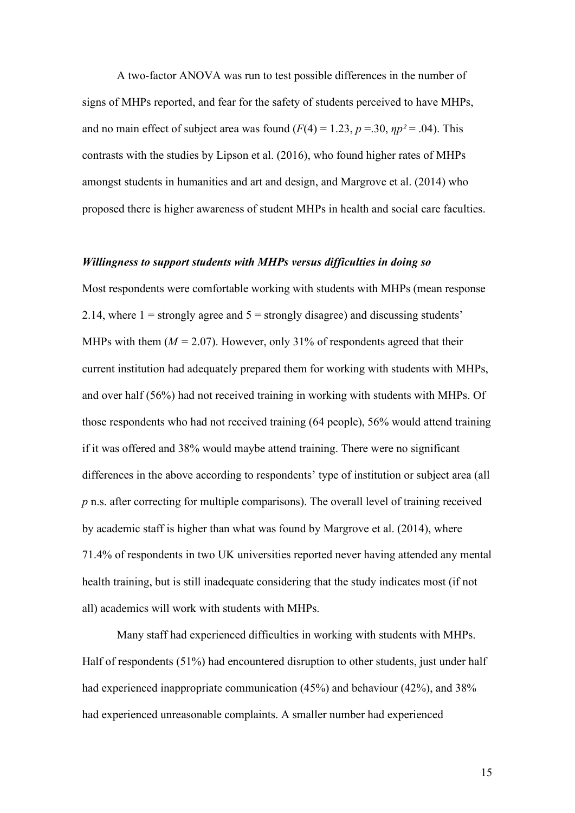A two-factor ANOVA was run to test possible differences in the number of signs of MHPs reported, and fear for the safety of students perceived to have MHPs, and no main effect of subject area was found  $(F(4) = 1.23, p = .30, \eta p^2 = .04)$ . This contrasts with the studies by Lipson et al. (2016), who found higher rates of MHPs amongst students in humanities and art and design, and Margrove et al. (2014) who proposed there is higher awareness of student MHPs in health and social care faculties.

#### *Willingness to support students with MHPs versus difficulties in doing so*

Most respondents were comfortable working with students with MHPs (mean response 2.14, where  $1 =$  strongly agree and  $5 =$  strongly disagree) and discussing students' MHPs with them  $(M = 2.07)$ . However, only 31% of respondents agreed that their current institution had adequately prepared them for working with students with MHPs, and over half (56%) had not received training in working with students with MHPs. Of those respondents who had not received training (64 people), 56% would attend training if it was offered and 38% would maybe attend training. There were no significant differences in the above according to respondents' type of institution or subject area (all *p* n.s. after correcting for multiple comparisons). The overall level of training received by academic staff is higher than what was found by Margrove et al. (2014), where 71.4% of respondents in two UK universities reported never having attended any mental health training, but is still inadequate considering that the study indicates most (if not all) academics will work with students with MHPs.

Many staff had experienced difficulties in working with students with MHPs. Half of respondents (51%) had encountered disruption to other students, just under half had experienced inappropriate communication (45%) and behaviour (42%), and 38% had experienced unreasonable complaints. A smaller number had experienced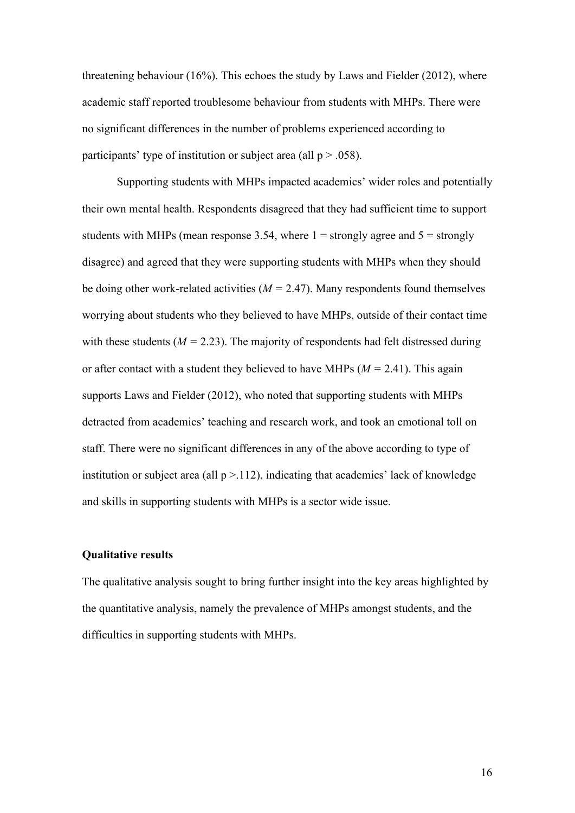threatening behaviour (16%). This echoes the study by Laws and Fielder (2012), where academic staff reported troublesome behaviour from students with MHPs. There were no significant differences in the number of problems experienced according to participants' type of institution or subject area (all  $p > .058$ ).

Supporting students with MHPs impacted academics' wider roles and potentially their own mental health. Respondents disagreed that they had sufficient time to support students with MHPs (mean response 3.54, where  $1 =$  strongly agree and  $5 =$  strongly disagree) and agreed that they were supporting students with MHPs when they should be doing other work-related activities (*M =* 2.47). Many respondents found themselves worrying about students who they believed to have MHPs, outside of their contact time with these students ( $M = 2.23$ ). The majority of respondents had felt distressed during or after contact with a student they believed to have MHPs (*M =* 2.41). This again supports Laws and Fielder (2012), who noted that supporting students with MHPs detracted from academics' teaching and research work, and took an emotional toll on staff. There were no significant differences in any of the above according to type of institution or subject area (all  $p > 112$ ), indicating that academics' lack of knowledge and skills in supporting students with MHPs is a sector wide issue.

# **Qualitative results**

The qualitative analysis sought to bring further insight into the key areas highlighted by the quantitative analysis, namely the prevalence of MHPs amongst students, and the difficulties in supporting students with MHPs.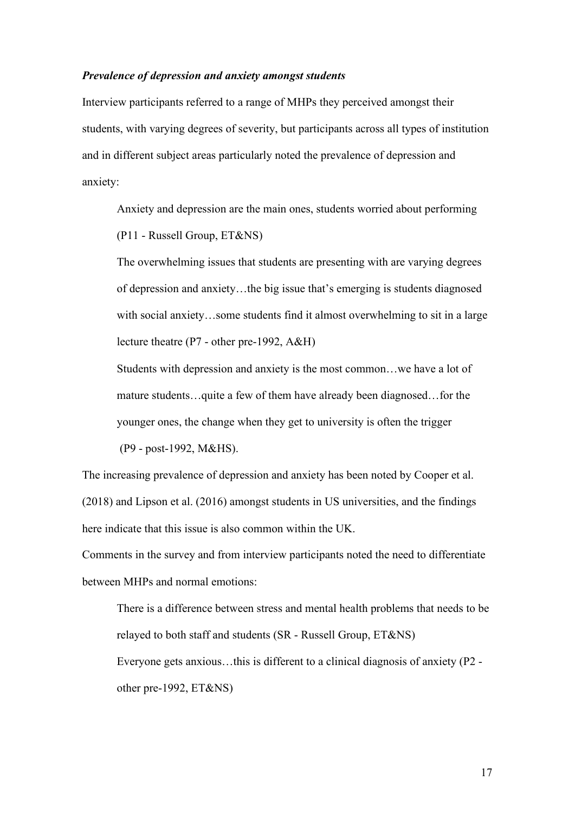## *Prevalence of depression and anxiety amongst students*

Interview participants referred to a range of MHPs they perceived amongst their students, with varying degrees of severity, but participants across all types of institution and in different subject areas particularly noted the prevalence of depression and anxiety:

Anxiety and depression are the main ones, students worried about performing (P11 - Russell Group, ET&NS)

The overwhelming issues that students are presenting with are varying degrees of depression and anxiety…the big issue that's emerging is students diagnosed with social anxiety...some students find it almost overwhelming to sit in a large lecture theatre (P7 - other pre-1992, A&H)

Students with depression and anxiety is the most common…we have a lot of mature students…quite a few of them have already been diagnosed…for the younger ones, the change when they get to university is often the trigger (P9 - post-1992, M&HS).

The increasing prevalence of depression and anxiety has been noted by Cooper et al. (2018) and Lipson et al. (2016) amongst students in US universities, and the findings here indicate that this issue is also common within the UK.

Comments in the survey and from interview participants noted the need to differentiate between MHPs and normal emotions:

There is a difference between stress and mental health problems that needs to be relayed to both staff and students (SR - Russell Group, ET&NS) Everyone gets anxious…this is different to a clinical diagnosis of anxiety (P2 other pre-1992, ET&NS)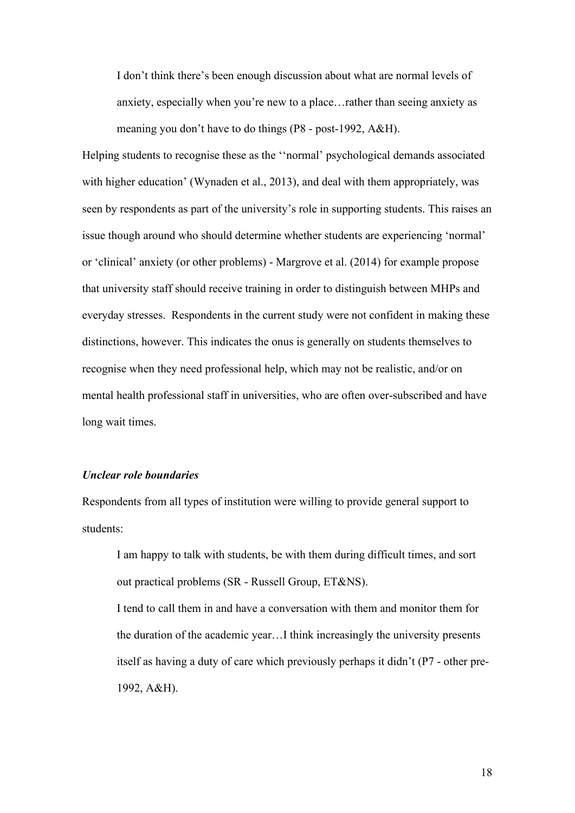I don't think there's been enough discussion about what are normal levels of anxiety, especially when you're new to a place…rather than seeing anxiety as meaning you don't have to do things (P8 - post-1992, A&H).

Helping students to recognise these as the ''normal' psychological demands associated with higher education' (Wynaden et al., 2013), and deal with them appropriately, was seen by respondents as part of the university's role in supporting students. This raises an issue though around who should determine whether students are experiencing 'normal' or 'clinical' anxiety (or other problems) - Margrove et al. (2014) for example propose that university staff should receive training in order to distinguish between MHPs and everyday stresses. Respondents in the current study were not confident in making these distinctions, however. This indicates the onus is generally on students themselves to recognise when they need professional help, which may not be realistic, and/or on mental health professional staff in universities, who are often over-subscribed and have long wait times.

# *Unclear role boundaries*

Respondents from all types of institution were willing to provide general support to students:

I am happy to talk with students, be with them during difficult times, and sort out practical problems (SR - Russell Group, ET&NS).

I tend to call them in and have a conversation with them and monitor them for the duration of the academic year…I think increasingly the university presents itself as having a duty of care which previously perhaps it didn't (P7 - other pre-1992, A&H).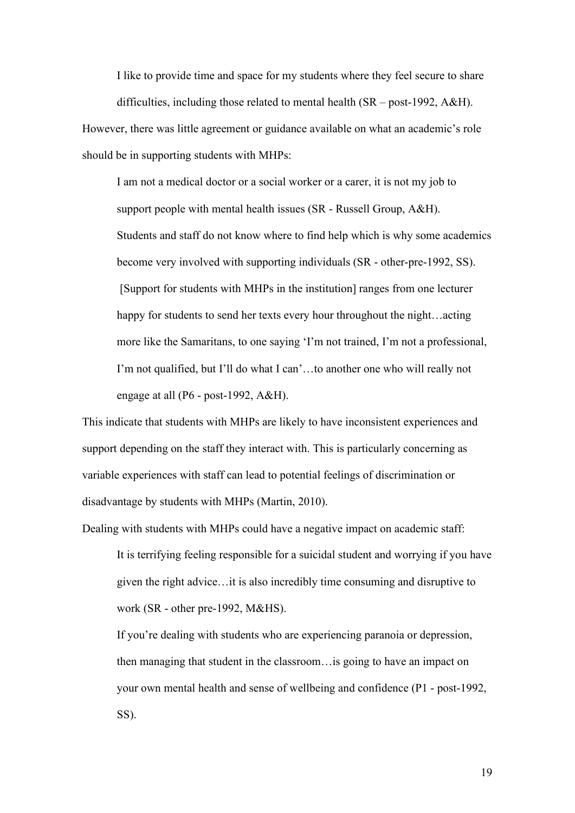I like to provide time and space for my students where they feel secure to share difficulties, including those related to mental health (SR – post-1992, A&H).

However, there was little agreement or guidance available on what an academic's role should be in supporting students with MHPs:

I am not a medical doctor or a social worker or a carer, it is not my job to support people with mental health issues (SR - Russell Group, A&H). Students and staff do not know where to find help which is why some academics become very involved with supporting individuals (SR - other-pre-1992, SS). [Support for students with MHPs in the institution] ranges from one lecturer happy for students to send her texts every hour throughout the night…acting more like the Samaritans, to one saying 'I'm not trained, I'm not a professional, I'm not qualified, but I'll do what I can'…to another one who will really not engage at all (P6 - post-1992, A&H).

This indicate that students with MHPs are likely to have inconsistent experiences and support depending on the staff they interact with. This is particularly concerning as variable experiences with staff can lead to potential feelings of discrimination or disadvantage by students with MHPs (Martin, 2010).

Dealing with students with MHPs could have a negative impact on academic staff:

It is terrifying feeling responsible for a suicidal student and worrying if you have given the right advice…it is also incredibly time consuming and disruptive to work (SR - other pre-1992, M&HS).

If you're dealing with students who are experiencing paranoia or depression, then managing that student in the classroom…is going to have an impact on your own mental health and sense of wellbeing and confidence (P1 - post-1992, SS).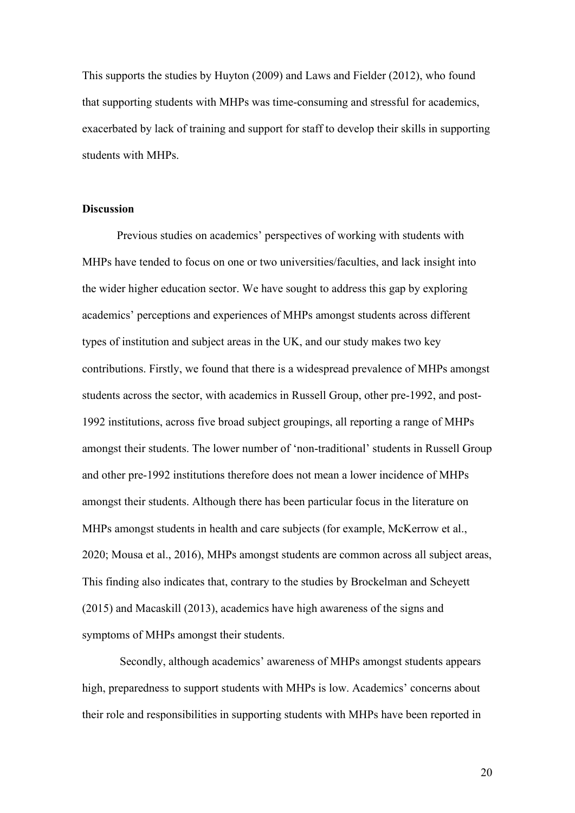This supports the studies by Huyton (2009) and Laws and Fielder (2012), who found that supporting students with MHPs was time-consuming and stressful for academics, exacerbated by lack of training and support for staff to develop their skills in supporting students with MHPs.

#### **Discussion**

Previous studies on academics' perspectives of working with students with MHPs have tended to focus on one or two universities/faculties, and lack insight into the wider higher education sector. We have sought to address this gap by exploring academics' perceptions and experiences of MHPs amongst students across different types of institution and subject areas in the UK, and our study makes two key contributions. Firstly, we found that there is a widespread prevalence of MHPs amongst students across the sector, with academics in Russell Group, other pre-1992, and post-1992 institutions, across five broad subject groupings, all reporting a range of MHPs amongst their students. The lower number of 'non-traditional' students in Russell Group and other pre-1992 institutions therefore does not mean a lower incidence of MHPs amongst their students. Although there has been particular focus in the literature on MHPs amongst students in health and care subjects (for example, McKerrow et al., 2020; Mousa et al., 2016), MHPs amongst students are common across all subject areas, This finding also indicates that, contrary to the studies by Brockelman and Scheyett (2015) and Macaskill (2013), academics have high awareness of the signs and symptoms of MHPs amongst their students.

Secondly, although academics' awareness of MHPs amongst students appears high, preparedness to support students with MHPs is low. Academics' concerns about their role and responsibilities in supporting students with MHPs have been reported in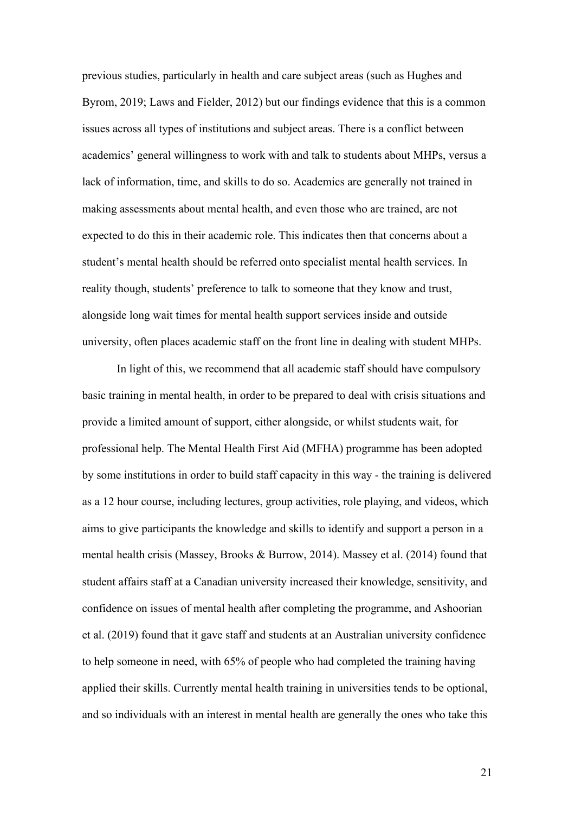previous studies, particularly in health and care subject areas (such as Hughes and Byrom, 2019; Laws and Fielder, 2012) but our findings evidence that this is a common issues across all types of institutions and subject areas. There is a conflict between academics' general willingness to work with and talk to students about MHPs, versus a lack of information, time, and skills to do so. Academics are generally not trained in making assessments about mental health, and even those who are trained, are not expected to do this in their academic role. This indicates then that concerns about a student's mental health should be referred onto specialist mental health services. In reality though, students' preference to talk to someone that they know and trust, alongside long wait times for mental health support services inside and outside university, often places academic staff on the front line in dealing with student MHPs.

In light of this, we recommend that all academic staff should have compulsory basic training in mental health, in order to be prepared to deal with crisis situations and provide a limited amount of support, either alongside, or whilst students wait, for professional help. The Mental Health First Aid (MFHA) programme has been adopted by some institutions in order to build staff capacity in this way - the training is delivered as a 12 hour course, including lectures, group activities, role playing, and videos, which aims to give participants the knowledge and skills to identify and support a person in a mental health crisis (Massey, Brooks & Burrow, 2014). Massey et al. (2014) found that student affairs staff at a Canadian university increased their knowledge, sensitivity, and confidence on issues of mental health after completing the programme, and Ashoorian et al. (2019) found that it gave staff and students at an Australian university confidence to help someone in need, with 65% of people who had completed the training having applied their skills. Currently mental health training in universities tends to be optional, and so individuals with an interest in mental health are generally the ones who take this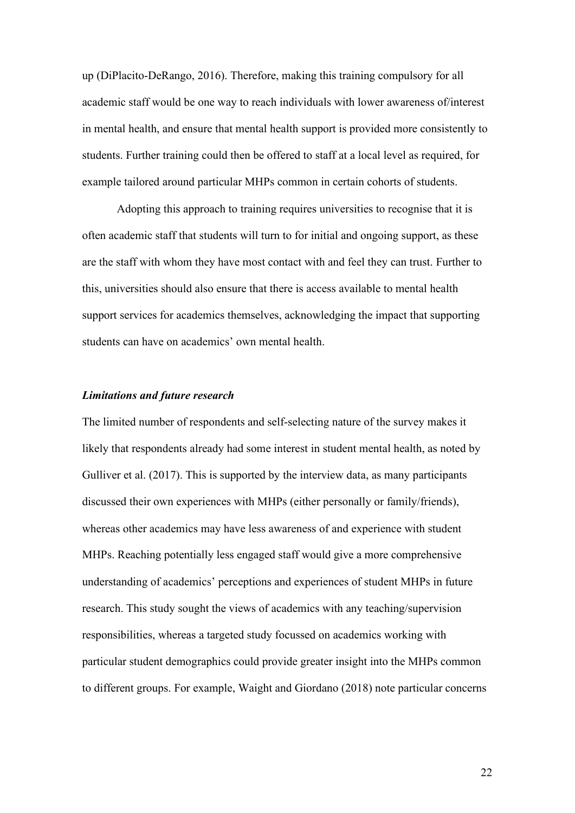up (DiPlacito-DeRango, 2016). Therefore, making this training compulsory for all academic staff would be one way to reach individuals with lower awareness of/interest in mental health, and ensure that mental health support is provided more consistently to students. Further training could then be offered to staff at a local level as required, for example tailored around particular MHPs common in certain cohorts of students.

Adopting this approach to training requires universities to recognise that it is often academic staff that students will turn to for initial and ongoing support, as these are the staff with whom they have most contact with and feel they can trust. Further to this, universities should also ensure that there is access available to mental health support services for academics themselves, acknowledging the impact that supporting students can have on academics' own mental health.

# *Limitations and future research*

The limited number of respondents and self-selecting nature of the survey makes it likely that respondents already had some interest in student mental health, as noted by Gulliver et al. (2017). This is supported by the interview data, as many participants discussed their own experiences with MHPs (either personally or family/friends), whereas other academics may have less awareness of and experience with student MHPs. Reaching potentially less engaged staff would give a more comprehensive understanding of academics' perceptions and experiences of student MHPs in future research. This study sought the views of academics with any teaching/supervision responsibilities, whereas a targeted study focussed on academics working with particular student demographics could provide greater insight into the MHPs common to different groups. For example, Waight and Giordano (2018) note particular concerns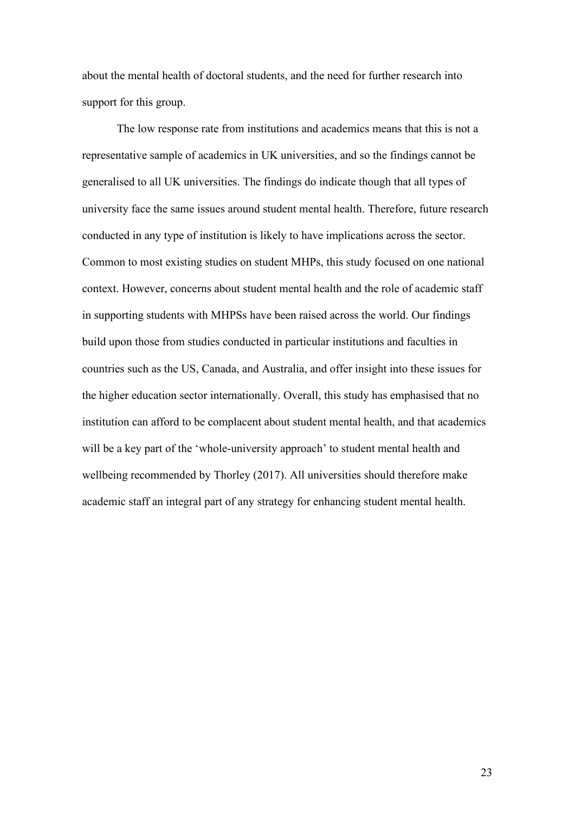about the mental health of doctoral students, and the need for further research into support for this group.

The low response rate from institutions and academics means that this is not a representative sample of academics in UK universities, and so the findings cannot be generalised to all UK universities. The findings do indicate though that all types of university face the same issues around student mental health. Therefore, future research conducted in any type of institution is likely to have implications across the sector. Common to most existing studies on student MHPs, this study focused on one national context. However, concerns about student mental health and the role of academic staff in supporting students with MHPSs have been raised across the world. Our findings build upon those from studies conducted in particular institutions and faculties in countries such as the US, Canada, and Australia, and offer insight into these issues for the higher education sector internationally. Overall, this study has emphasised that no institution can afford to be complacent about student mental health, and that academics will be a key part of the 'whole-university approach' to student mental health and wellbeing recommended by Thorley (2017). All universities should therefore make academic staff an integral part of any strategy for enhancing student mental health.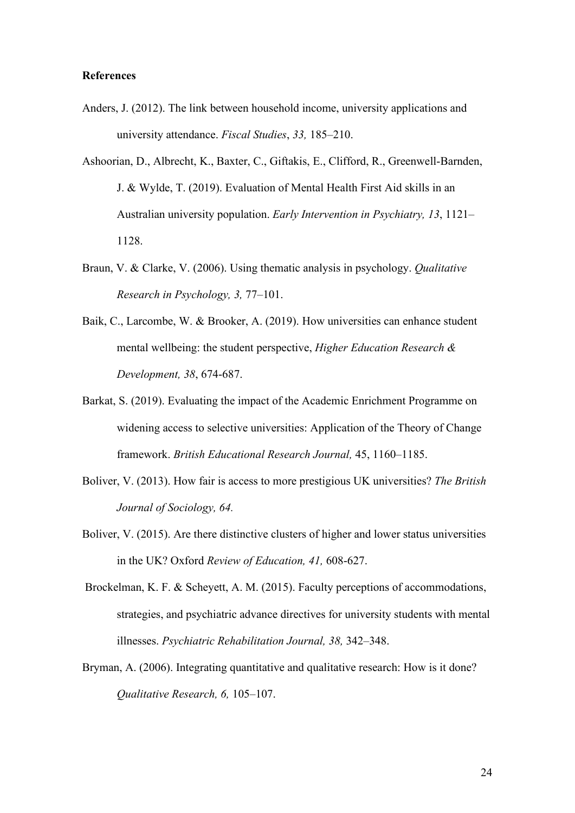# **References**

- Anders, J. (2012). The link between household income, university applications and university attendance. *Fiscal Studies*, *33,* 185–210.
- Ashoorian, D., Albrecht, K., Baxter, C., Giftakis, E., Clifford, R., Greenwell-Barnden, J. & Wylde, T. (2019). Evaluation of Mental Health First Aid skills in an Australian university population. *Early Intervention in Psychiatry, 13*, 1121– 1128.
- Braun, V. & Clarke, V. (2006). Using thematic analysis in psychology. *Qualitative Research in Psychology, 3,* 77–101.
- Baik, C., Larcombe, W. & Brooker, A. (2019). How universities can enhance student mental wellbeing: the student perspective, *Higher Education Research & Development, 38*, 674-687.
- Barkat, S. (2019). Evaluating the impact of the Academic Enrichment Programme on widening access to selective universities: Application of the Theory of Change framework. *British Educational Research Journal,* 45, 1160–1185.
- Boliver, V. (2013). How fair is access to more prestigious UK universities? *The British Journal of Sociology, 64.*
- Boliver, V. (2015). Are there distinctive clusters of higher and lower status universities in the UK? Oxford *Review of Education, 41,* 608-627.
- Brockelman, K. F. & Scheyett, A. M. (2015). Faculty perceptions of accommodations, strategies, and psychiatric advance directives for university students with mental illnesses. *Psychiatric Rehabilitation Journal, 38,* 342–348.
- Bryman, A. (2006). Integrating quantitative and qualitative research: How is it done? *Qualitative Research, 6,* 105–107.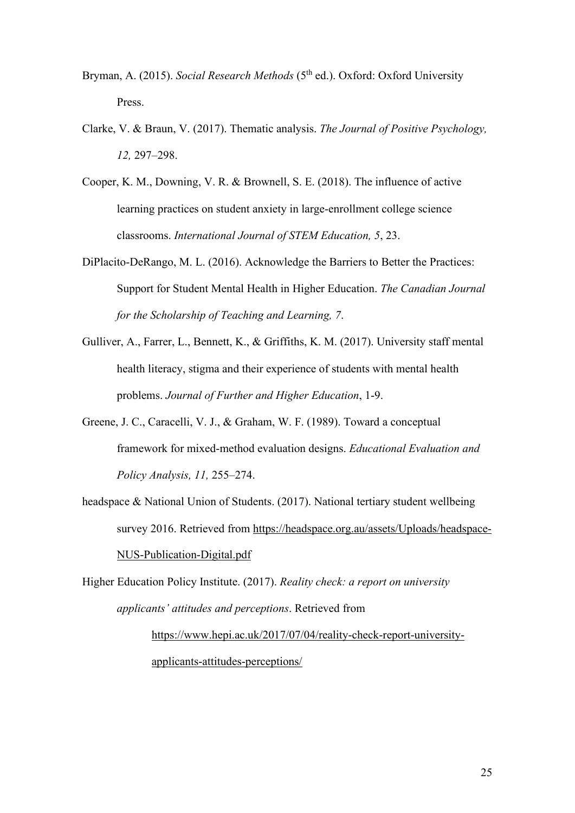Bryman, A. (2015). *Social Research Methods* (5<sup>th</sup> ed.). Oxford: Oxford University Press.

Clarke, V. & Braun, V. (2017). Thematic analysis. *The Journal of Positive Psychology, 12,* 297–298.

Cooper, K. M., Downing, V. R. & Brownell, S. E. (2018). The influence of active learning practices on student anxiety in large-enrollment college science classrooms. *International Journal of STEM Education, 5*, 23.

- DiPlacito-DeRango, M. L. (2016). Acknowledge the Barriers to Better the Practices: Support for Student Mental Health in Higher Education. *The Canadian Journal for the Scholarship of Teaching and Learning, 7*.
- Gulliver, A., Farrer, L., Bennett, K., & Griffiths, K. M. (2017). University staff mental health literacy, stigma and their experience of students with mental health problems. *Journal of Further and Higher Education*, 1-9.
- Greene, J. C., Caracelli, V. J., & Graham, W. F. (1989). Toward a conceptual framework for mixed-method evaluation designs. *Educational Evaluation and Policy Analysis, 11,* 255–274.
- headspace & National Union of Students. (2017). National tertiary student wellbeing survey 2016. Retrieved from [https://headspace.org.au/assets/Uploads/headspace-](https://headspace.org.au/assets/Uploads/headspace-NUS-Publication-Digital.pdf)[NUS-Publication-Digital.pdf](https://headspace.org.au/assets/Uploads/headspace-NUS-Publication-Digital.pdf)

Higher Education Policy Institute. (2017). *Reality check: a report on university applicants' attitudes and perceptions*. Retrieved from [https://www.hepi.ac.uk/2017/07/04/reality-check-report-university-](https://www.hepi.ac.uk/2017/07/04/reality-check-report-university-applicants-attitudes-perceptions/)

[applicants-attitudes-perceptions/](https://www.hepi.ac.uk/2017/07/04/reality-check-report-university-applicants-attitudes-perceptions/)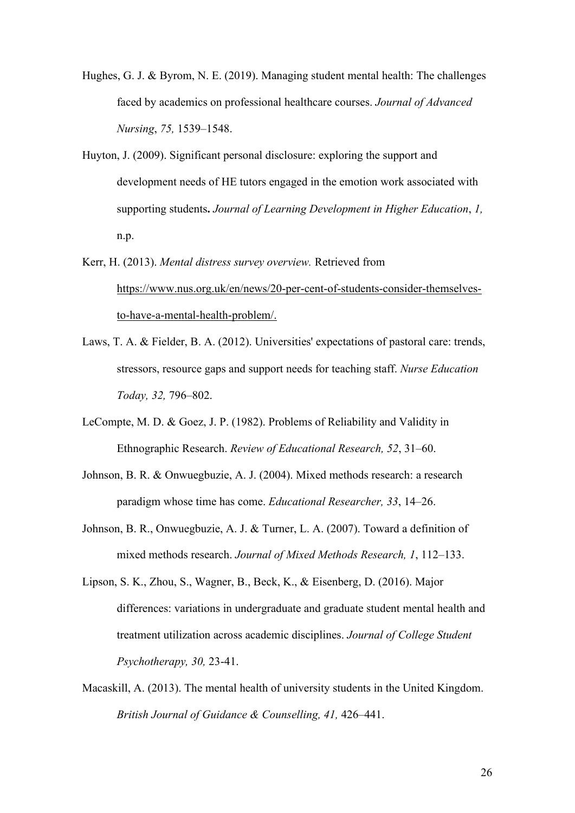Hughes, G. J. & Byrom, N. E. (2019). Managing student mental health: The challenges faced by academics on professional healthcare courses. *Journal of Advanced Nursing*, *75,* 1539–1548.

- Huyton, J. (2009). Significant personal disclosure: exploring the support and development needs of HE tutors engaged in the emotion work associated with supporting students**.** *Journal of Learning Development in Higher Education*, *1,* n.p.
- Kerr, H. (2013). *Mental distress survey overview.* Retrieved from [https://www.nus.org.uk/en/news/20-per-cent-of-students-consider-themselves](https://www.nus.org.uk/en/news/20-per-cent-of-students-consider-themselves-to-have-a-mental-health-problem/)[to-have-a-mental-health-problem/.](https://www.nus.org.uk/en/news/20-per-cent-of-students-consider-themselves-to-have-a-mental-health-problem/)
- Laws, T. A. & Fielder, B. A. (2012). Universities' expectations of pastoral care: trends, stressors, resource gaps and support needs for teaching staff. *Nurse Education Today, 32,* 796–802.
- LeCompte, M. D. & Goez, J. P. (1982). Problems of Reliability and Validity in Ethnographic Research. *Review of Educational Research, 52*, 31–60.
- Johnson, B. R. & Onwuegbuzie, A. J. (2004). Mixed methods research: a research paradigm whose time has come. *Educational Researcher, 33*, 14–26.
- Johnson, B. R., Onwuegbuzie, A. J. & Turner, L. A. (2007). Toward a definition of mixed methods research. *Journal of Mixed Methods Research, 1*, 112–133.
- Lipson, S. K., Zhou, S., Wagner, B., Beck, K., & Eisenberg, D. (2016). Major differences: variations in undergraduate and graduate student mental health and treatment utilization across academic disciplines. *Journal of College Student Psychotherapy, 30,* 23-41.
- Macaskill, A. (2013). The mental health of university students in the United Kingdom. *British Journal of Guidance & Counselling, 41,* 426–441.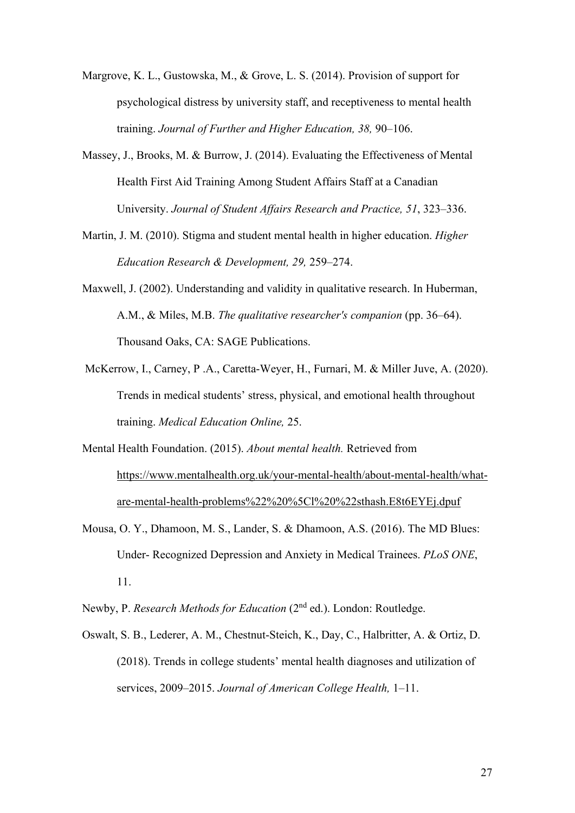Margrove, K. L., Gustowska, M., & Grove, L. S. (2014). Provision of support for psychological distress by university staff, and receptiveness to mental health training. *Journal of Further and Higher Education, 38,* 90–106.

- Massey, J., Brooks, M. & Burrow, J. (2014). Evaluating the Effectiveness of Mental Health First Aid Training Among Student Affairs Staff at a Canadian University. *Journal of Student Affairs Research and Practice, 51*, 323–336.
- Martin, J. M. (2010). Stigma and student mental health in higher education. *Higher Education Research & Development, 29,* 259–274.
- Maxwell, J. (2002). Understanding and validity in qualitative research. In Huberman, A.M., & Miles, M.B. *The qualitative researcher's companion* (pp. 36–64). Thousand Oaks, CA: SAGE Publications.
- McKerrow, I., Carney, P .A., Caretta-Weyer, H., Furnari, M. & Miller Juve, A. (2020). Trends in medical students' stress, physical, and emotional health throughout training. *Medical Education Online,* 25.
- Mental Health Foundation. (2015). *About mental health.* Retrieved from [https://www.mentalhealth.org.uk/your-mental-health/about-mental-health/what](https://www.mentalhealth.org.uk/your-mental-health/about-mental-health/what-are-mental-health-problems%22%20%5Cl%20%22sthash.E8t6EYEj.dpuf)[are-mental-health-problems%22%20%5Cl%20%22sthash.E8t6EYEj.dpuf](https://www.mentalhealth.org.uk/your-mental-health/about-mental-health/what-are-mental-health-problems%22%20%5Cl%20%22sthash.E8t6EYEj.dpuf)
- Mousa, O. Y., Dhamoon, M. S., Lander, S. & Dhamoon, A.S. (2016). The MD Blues: Under- Recognized Depression and Anxiety in Medical Trainees. *PLoS ONE*, 11.
- Newby, P. *Research Methods for Education* (2nd ed.). London: Routledge.
- Oswalt, S. B., Lederer, A. M., Chestnut-Steich, K., Day, C., Halbritter, A. & Ortiz, D. (2018). Trends in college students' mental health diagnoses and utilization of services, 2009–2015. *Journal of American College Health,* 1–11.